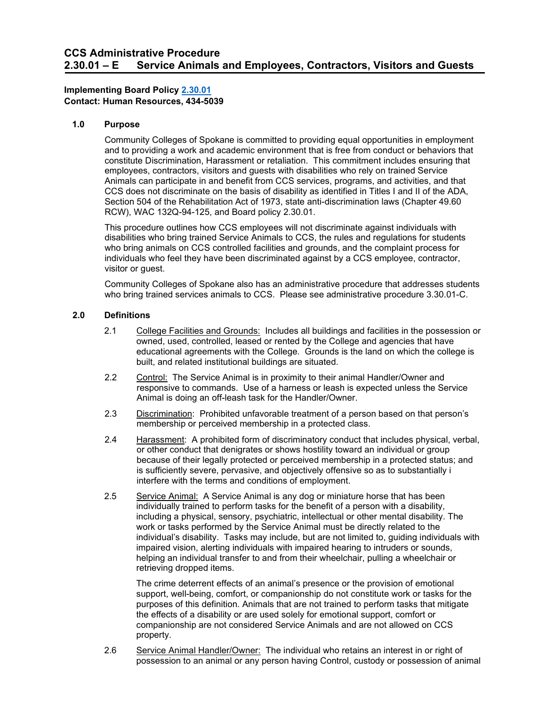# **Implementing Board Policy 2.30.01 Implementing Board Policy [2.30.01](https://ccs.spokane.edu/About-Us/Leadership/Board-of-Trustees/Policies-Procedures/Chapter2#AccWE2-7) Contact: Human Resources, 434-5039**

### **1.0 Purpose**

 employees, contractors, visitors and guests with disabilities who rely on trained Service RCW), [WAC 132Q-94-125,](http://apps.leg.wa.gov/WAC/default.aspx?cite=132Q-94-125) and Board policy 2.30.01. Community Colleges of Spokane is committed to providing equal opportunities in employment and to providing a work and academic environment that is free from conduct or behaviors that constitute Discrimination, Harassment or retaliation. This commitment includes ensuring that Animals can participate in and benefit from CCS services, programs, and activities, and that CCS does not discriminate on the basis of disability as identified in Titles I and II of the ADA, Section 504 of the Rehabilitation Act of 1973, state anti-discrimination laws (Chapter 49.60

This procedure outlines how CCS employees will not discriminate against individuals with disabilities who bring trained Service Animals to CCS, the rules and regulations for students who bring animals on CCS controlled facilities and grounds, and the complaint process for individuals who feel they have been discriminated against by a CCS employee, contractor, visitor or guest.

 who bring trained services animals to CCS. Please see administrative procedure 3.30.01-C. Community Colleges of Spokane also has an administrative procedure that addresses students

### **2.0 Definitions**

- 2.1 College Facilities and Grounds: Includes all buildings and facilities in the possession or owned, used, controlled, leased or rented by the College and agencies that have educational agreements with the College. Grounds is the land on which the college is built, and related institutional buildings are situated.
- 2.2 Control: The Service Animal is in proximity to their animal Handler/Owner and responsive to commands. Use of a harness or leash is expected unless the Service Animal is doing an off-leash task for the Handler/Owner.
- 2.3 Discrimination: Prohibited unfavorable treatment of a person based on that person's membership or perceived membership in a protected class.
- 2.4 Harassment: A prohibited form of discriminatory conduct that includes physical, verbal, or other conduct that denigrates or shows hostility toward an individual or group because of their legally protected or perceived membership in a protected status; and is sufficiently severe, pervasive, and objectively offensive so as to substantially i interfere with the terms and conditions of employment.
- 2.5 Service Animal: A Service Animal is any dog or miniature horse that has been individual's disability. Tasks may include, but are not limited to, guiding individuals with individually trained to perform tasks for the benefit of a person with a disability, including a physical, sensory, psychiatric, intellectual or other mental disability. The work or tasks performed by the Service Animal must be directly related to the impaired vision, alerting individuals with impaired hearing to intruders or sounds, helping an individual transfer to and from their wheelchair, pulling a wheelchair or retrieving dropped items.

 The crime deterrent effects of an animal's presence or the provision of emotional the effects of a disability or are used solely for emotional support, comfort or support, well-being, comfort, or companionship do not constitute work or tasks for the purposes of this definition. Animals that are not trained to perform tasks that mitigate companionship are not considered Service Animals and are not allowed on CCS property.

2.6 Service Animal Handler/Owner: The individual who retains an interest in or right of possession to an animal or any person having Control, custody or possession of animal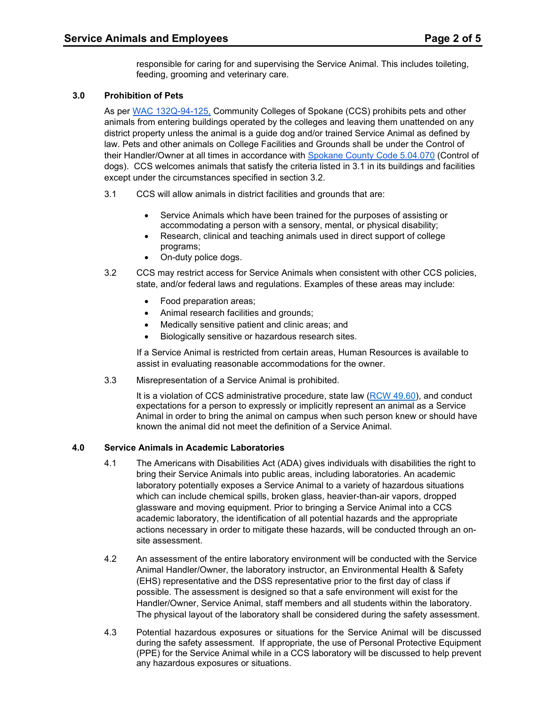responsible for caring for and supervising the Service Animal. This includes toileting, feeding, grooming and veterinary care.

# **3.0 Prohibition of Pets**

 district property unless the animal is a guide dog and/or trained Service Animal as defined by law. Pets and other animals on College Facilities and Grounds shall be under the Control of As per [WAC 132Q-94-125,](http://apps.leg.wa.gov/wac/default.aspx?cite=132Q-94-125) Community Colleges of Spokane (CCS) prohibits pets and other animals from entering buildings operated by the colleges and leaving them unattended on any their Handler/Owner at all times in accordance with [Spokane County Code 5.04.070](https://www.municode.com/library/wa/spokane_county/codes/code_of_ordinances?nodeId=TIT5AN_CH5.04DOCA_5.04.070CODO) (Control of dogs). CCS welcomes animals that satisfy the criteria listed in 3.1 in its buildings and facilities except under the circumstances specified in section 3.2.

- 3.1 CCS will allow animals in district facilities and grounds that are:
	- Service Animals which have been trained for the purposes of assisting or accommodating a person with a sensory, mental, or physical disability;
	- programs; • Research, clinical and teaching animals used in direct support of college
	- On-duty police dogs.
- state, and/or federal laws and regulations. Examples of these areas may include: 3.2 CCS may restrict access for Service Animals when consistent with other CCS policies,
	- Food preparation areas;
	- Animal research facilities and grounds;
	- Medically sensitive patient and clinic areas; and
	- Biologically sensitive or hazardous research sites.

If a Service Animal is restricted from certain areas, Human Resources is available to assist in evaluating reasonable accommodations for the owner.

3.3 Misrepresentation of a Service Animal is prohibited.

It is a violation of CCS administrative procedure, state law [\(RCW 49.60\)](https://apps.leg.wa.gov/rcw/default.aspx?cite=49.60), and conduct expectations for a person to expressly or implicitly represent an animal as a Service Animal in order to bring the animal on campus when such person knew or should have known the animal did not meet the definition of a Service Animal.

# **4.0 Service Animals in Academic Laboratories**

- 4.1 The Americans with Disabilities Act (ADA) gives individuals with disabilities the right to bring their Service Animals into public areas, including laboratories. An academic laboratory potentially exposes a Service Animal to a variety of hazardous situations which can include chemical spills, broken glass, heavier-than-air vapors, dropped glassware and moving equipment. Prior to bringing a Service Animal into a CCS academic laboratory, the identification of all potential hazards and the appropriate actions necessary in order to mitigate these hazards, will be conducted through an onsite assessment.
- Animal Handler/Owner, the laboratory instructor, an Environmental Health & Safety possible. The assessment is designed so that a safe environment will exist for the 4.2 An assessment of the entire laboratory environment will be conducted with the Service (EHS) representative and the DSS representative prior to the first day of class if Handler/Owner, Service Animal, staff members and all students within the laboratory. The physical layout of the laboratory shall be considered during the safety assessment.
- 4.3 Potential hazardous exposures or situations for the Service Animal will be discussed during the safety assessment. If appropriate, the use of Personal Protective Equipment (PPE) for the Service Animal while in a CCS laboratory will be discussed to help prevent any hazardous exposures or situations.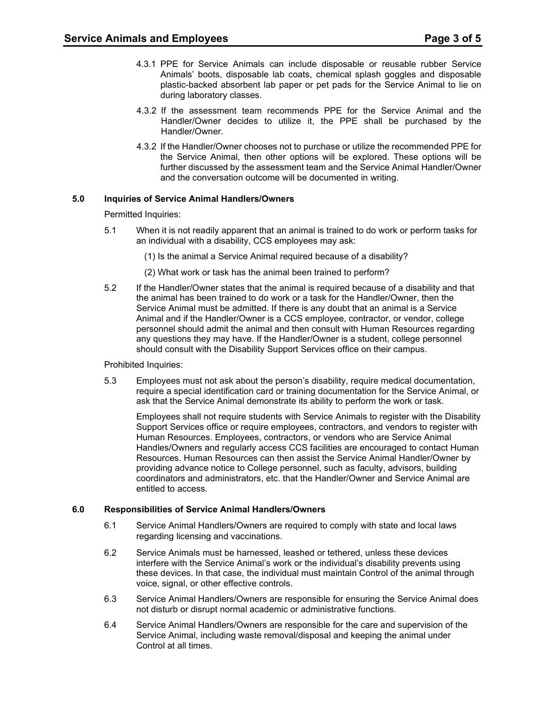- plastic-backed absorbent lab paper or pet pads for the Service Animal to lie on 4.3.1 PPE for Service Animals can include disposable or reusable rubber Service Animals' boots, disposable lab coats, chemical splash goggles and disposable during laboratory classes.
- 4.3.2 If the assessment team recommends PPE for the Service Animal and the Handler/Owner decides to utilize it, the PPE shall be purchased by the Handler/Owner.
- 4.3.2 If the Handler/Owner chooses not to purchase or utilize the recommended PPE for the Service Animal, then other options will be explored. These options will be further discussed by the assessment team and the Service Animal Handler/Owner and the conversation outcome will be documented in writing.

### **5.0 Inquiries of Service Animal Handlers/Owners**

Permitted Inquiries:

- 5.1 When it is not readily apparent that an animal is trained to do work or perform tasks for an individual with a disability, CCS employees may ask:
	- (1) Is the animal a Service Animal required because of a disability?
	- (2) What work or task has the animal been trained to perform?
- 5.2 If the Handler/Owner states that the animal is required because of a disability and that Service Animal must be admitted. If there is any doubt that an animal is a Service should consult with the Disability Support Services office on their campus. the animal has been trained to do work or a task for the Handler/Owner, then the Animal and if the Handler/Owner is a CCS employee, contractor, or vendor, college personnel should admit the animal and then consult with Human Resources regarding any questions they may have. If the Handler/Owner is a student, college personnel

#### Prohibited Inquiries:

 5.3 Employees must not ask about the person's disability, require medical documentation, require a special identification card or training documentation for the Service Animal, or ask that the Service Animal demonstrate its ability to perform the work or task.

Employees shall not require students with Service Animals to register with the Disability Support Services office or require employees, contractors, and vendors to register with Human Resources. Employees, contractors, or vendors who are Service Animal Handles/Owners and regularly access CCS facilities are encouraged to contact Human Resources. Human Resources can then assist the Service Animal Handler/Owner by providing advance notice to College personnel, such as faculty, advisors, building coordinators and administrators, etc. that the Handler/Owner and Service Animal are entitled to access.

#### **6.0 Responsibilities of Service Animal Handlers/Owners**

- 6.1 Service Animal Handlers/Owners are required to comply with state and local laws regarding licensing and vaccinations.
- voice, signal, or other effective controls. 6.2 Service Animals must be harnessed, leashed or tethered, unless these devices interfere with the Service Animal's work or the individual's disability prevents using these devices. In that case, the individual must maintain Control of the animal through
- 6.3 Service Animal Handlers/Owners are responsible for ensuring the Service Animal does not disturb or disrupt normal academic or administrative functions.
- $6.4$ Service Animal Handlers/Owners are responsible for the care and supervision of the Service Animal, including waste removal/disposal and keeping the animal under Control at all times.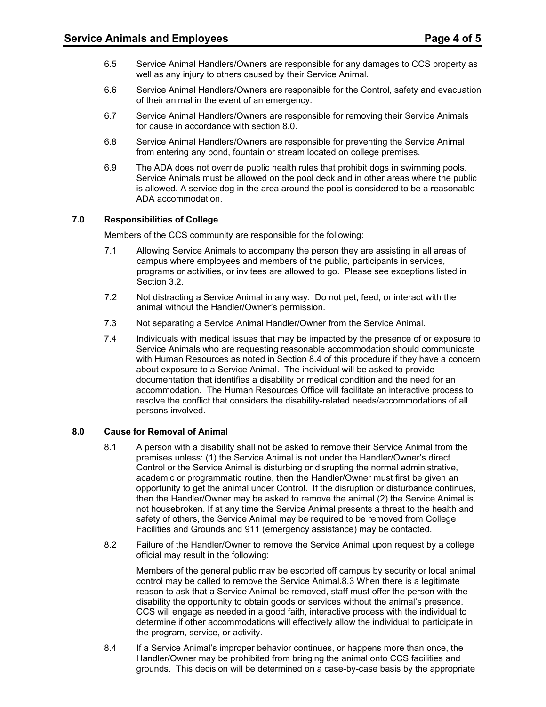- 6.5 Service Animal Handlers/Owners are responsible for any damages to CCS property as well as any injury to others caused by their Service Animal.
- 6.6 Service Animal Handlers/Owners are responsible for the Control, safety and evacuation of their animal in the event of an emergency.
- 6.7 Service Animal Handlers/Owners are responsible for removing their Service Animals for cause in accordance with section 8.0.
- 6.8 Service Animal Handlers/Owners are responsible for preventing the Service Animal from entering any pond, fountain or stream located on college premises.
- 6.9 The ADA does not override public health rules that prohibit dogs in swimming pools. Service Animals must be allowed on the pool deck and in other areas where the public is allowed. A service dog in the area around the pool is considered to be a reasonable ADA accommodation.

#### **7.0 Responsibilities of College**

Members of the CCS community are responsible for the following:

- programs or activities, or invitees are allowed to go. Please see exceptions listed in 7.1 Allowing Service Animals to accompany the person they are assisting in all areas of campus where employees and members of the public, participants in services, Section 3.2.
- 7.2 Not distracting a Service Animal in any way. Do not pet, feed, or interact with the animal without the Handler/Owner's permission.
- 7.3 Not separating a Service Animal Handler/Owner from the Service Animal.
- resolve the conflict that considers the disability-related needs/accommodations of all 7.4 Individuals with medical issues that may be impacted by the presence of or exposure to Service Animals who are requesting reasonable accommodation should communicate with Human Resources as noted in Section 8.4 of this procedure if they have a concern about exposure to a Service Animal. The individual will be asked to provide documentation that identifies a disability or medical condition and the need for an accommodation. The Human Resources Office will facilitate an interactive process to persons involved.

#### **8.0 Cause for Removal of Animal**

- opportunity to get the animal under Control. If the disruption or disturbance continues, 8.1 A person with a disability shall not be asked to remove their Service Animal from the premises unless: (1) the Service Animal is not under the Handler/Owner's direct Control or the Service Animal is disturbing or disrupting the normal administrative, academic or programmatic routine, then the Handler/Owner must first be given an then the Handler/Owner may be asked to remove the animal (2) the Service Animal is not housebroken. If at any time the Service Animal presents a threat to the health and safety of others, the Service Animal may be required to be removed from College Facilities and Grounds and 911 (emergency assistance) may be contacted.
- 8.2 Failure of the Handler/Owner to remove the Service Animal upon request by a college official may result in the following:

 Members of the general public may be escorted off campus by security or local animal control may be called to remove the Service Animal.8.3 When there is a legitimate reason to ask that a Service Animal be removed, staff must offer the person with the disability the opportunity to obtain goods or services without the animal's presence. CCS will engage as needed in a good faith, interactive process with the individual to determine if other accommodations will effectively allow the individual to participate in the program, service, or activity.

8.4 Handler/Owner may be prohibited from bringing the animal onto CCS facilities and If a Service Animal's improper behavior continues, or happens more than once, the grounds. This decision will be determined on a case-by-case basis by the appropriate